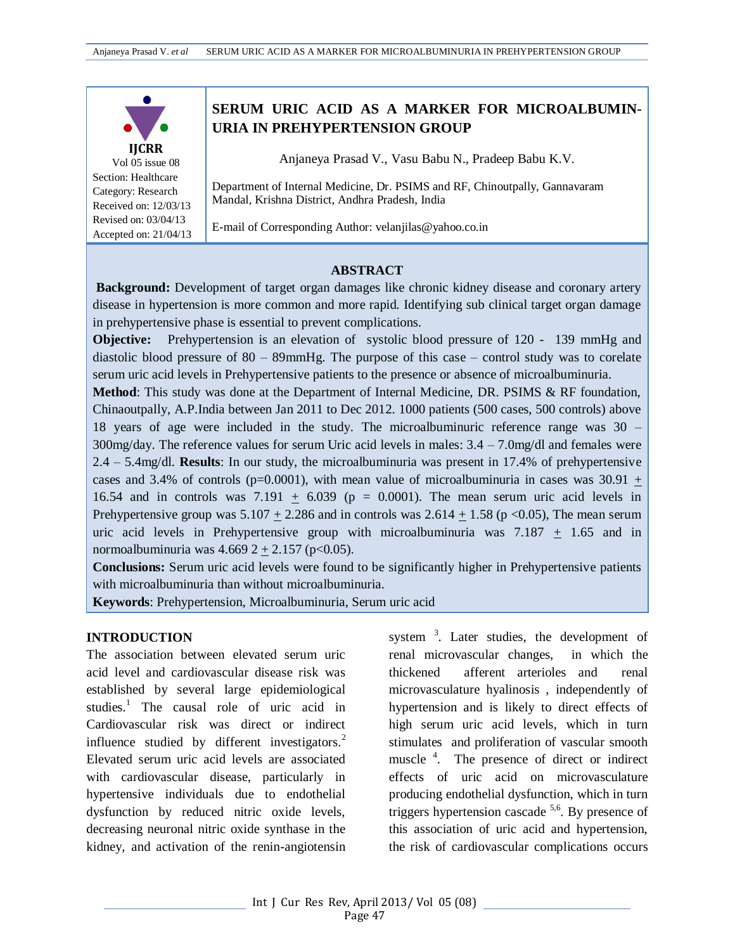

Vol 05 issue 08 Section: Healthcare Category: Research Received on: 12/03/13 Revised on: 03/04/13 Accepted on: 21/04/13

# **SERUM URIC ACID AS A MARKER FOR MICROALBUMIN-URIA IN PREHYPERTENSION GROUP**

Anjaneya Prasad V., Vasu Babu N., Pradeep Babu K.V.

Department of Internal Medicine, Dr. PSIMS and RF, Chinoutpally, Gannavaram Mandal, Krishna District, Andhra Pradesh, India

E-mail of Corresponding Author[: velanjilas@yahoo.co.in](mailto:velanjilas@yahoo.co.in)

#### **ABSTRACT**

**Background:** Development of target organ damages like chronic kidney disease and coronary artery disease in hypertension is more common and more rapid. Identifying sub clinical target organ damage in prehypertensive phase is essential to prevent complications.

**Objective:** Prehypertension is an elevation of systolic blood pressure of 120 - 139 mmHg and diastolic blood pressure of 80 – 89mmHg. The purpose of this case – control study was to corelate serum uric acid levels in Prehypertensive patients to the presence or absence of microalbuminuria.

**Method**: This study was done at the Department of Internal Medicine, DR. PSIMS & RF foundation, Chinaoutpally, A.P.India between Jan 2011 to Dec 2012. 1000 patients (500 cases, 500 controls) above 18 years of age were included in the study. The microalbuminuric reference range was 30 –  $300$ mg/day. The reference values for serum Uric acid levels in males:  $3.4 - 7.0$ mg/dl and females were 2.4 – 5.4mg/dl. **Results**: In our study, the microalbuminuria was present in 17.4% of prehypertensive cases and 3.4% of controls ( $p=0.0001$ ), with mean value of microalbuminuria in cases was 30.91 + 16.54 and in controls was 7.191  $\pm$  6.039 (p = 0.0001). The mean serum uric acid levels in Prehypertensive group was  $5.107 + 2.286$  and in controls was  $2.614 + 1.58$  (p <0.05), The mean serum uric acid levels in Prehypertensive group with microalbuminuria was  $7.187 \pm 1.65$  and in normoalbuminuria was  $4.6692 + 2.157$  (p<0.05).

**Conclusions:** Serum uric acid levels were found to be significantly higher in Prehypertensive patients with microalbuminuria than without microalbuminuria.

**Keywords**: Prehypertension, Microalbuminuria, Serum uric acid

#### **INTRODUCTION**

The association between elevated serum uric acid level and cardiovascular disease risk was established by several large epidemiological studies.<sup>1</sup> The causal role of uric acid in Cardiovascular risk was direct or indirect influence studied by different investigators.<sup>2</sup> Elevated serum uric acid levels are associated with cardiovascular disease, particularly in hypertensive individuals due to endothelial dysfunction by reduced nitric oxide levels, decreasing neuronal nitric oxide synthase in the kidney, and activation of the renin-angiotensin

system<sup>3</sup>. Later studies, the development of renal microvascular changes, in which the thickened afferent arterioles and renal microvasculature hyalinosis , independently of hypertension and is likely to direct effects of high serum uric acid levels, which in turn stimulates and proliferation of vascular smooth muscle<sup>4</sup>. The presence of direct or indirect effects of uric acid on microvasculature producing endothelial dysfunction, which in turn triggers hypertension cascade  $5.6$ . By presence of this association of uric acid and hypertension, the risk of cardiovascular complications occurs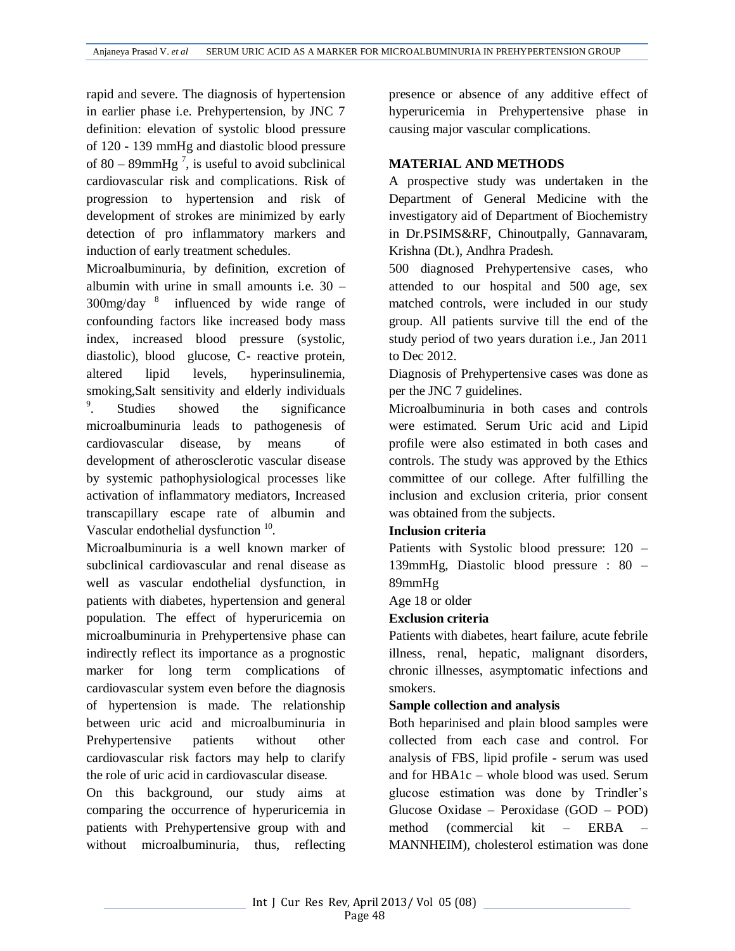rapid and severe. The diagnosis of hypertension in earlier phase i.e. Prehypertension, by JNC 7 definition: elevation of systolic blood pressure of 120 - 139 mmHg and diastolic blood pressure of 80 – 89mmHg<sup>7</sup>, is useful to avoid subclinical cardiovascular risk and complications. Risk of progression to hypertension and risk of development of strokes are minimized by early detection of pro inflammatory markers and induction of early treatment schedules.

Microalbuminuria, by definition, excretion of albumin with urine in small amounts i.e. 30 –  $300$ mg/day  $8$  influenced by wide range of confounding factors like increased body mass index, increased blood pressure (systolic, diastolic), blood glucose, C- reactive protein, altered lipid levels, hyperinsulinemia, smoking,Salt sensitivity and elderly individuals 9 Studies showed the significance microalbuminuria leads to pathogenesis of cardiovascular disease, by means of development of atherosclerotic vascular disease by systemic pathophysiological processes like activation of inflammatory mediators, Increased transcapillary escape rate of albumin and Vascular endothelial dysfunction <sup>10</sup>.

Microalbuminuria is a well known marker of subclinical cardiovascular and renal disease as well as vascular endothelial dysfunction, in patients with diabetes, hypertension and general population. The effect of hyperuricemia on microalbuminuria in Prehypertensive phase can indirectly reflect its importance as a prognostic marker for long term complications of cardiovascular system even before the diagnosis of hypertension is made. The relationship between uric acid and microalbuminuria in Prehypertensive patients without other cardiovascular risk factors may help to clarify the role of uric acid in cardiovascular disease.

On this background, our study aims at comparing the occurrence of hyperuricemia in patients with Prehypertensive group with and without microalbuminuria, thus, reflecting

presence or absence of any additive effect of hyperuricemia in Prehypertensive phase in causing major vascular complications.

## **MATERIAL AND METHODS**

A prospective study was undertaken in the Department of General Medicine with the investigatory aid of Department of Biochemistry in Dr.PSIMS&RF, Chinoutpally, Gannavaram, Krishna (Dt.), Andhra Pradesh.

500 diagnosed Prehypertensive cases, who attended to our hospital and 500 age, sex matched controls, were included in our study group. All patients survive till the end of the study period of two years duration i.e., Jan 2011 to Dec 2012.

Diagnosis of Prehypertensive cases was done as per the JNC 7 guidelines.

Microalbuminuria in both cases and controls were estimated. Serum Uric acid and Lipid profile were also estimated in both cases and controls. The study was approved by the Ethics committee of our college. After fulfilling the inclusion and exclusion criteria, prior consent was obtained from the subjects.

## **Inclusion criteria**

Patients with Systolic blood pressure: 120 – 139mmHg, Diastolic blood pressure : 80 – 89mmHg

Age 18 or older

### **Exclusion criteria**

Patients with diabetes, heart failure, acute febrile illness, renal, hepatic, malignant disorders, chronic illnesses, asymptomatic infections and smokers.

### **Sample collection and analysis**

Both heparinised and plain blood samples were collected from each case and control. For analysis of FBS, lipid profile - serum was used and for HBA1c – whole blood was used. Serum glucose estimation was done by Trindler's Glucose Oxidase – Peroxidase (GOD – POD) method (commercial kit – ERBA MANNHEIM), cholesterol estimation was done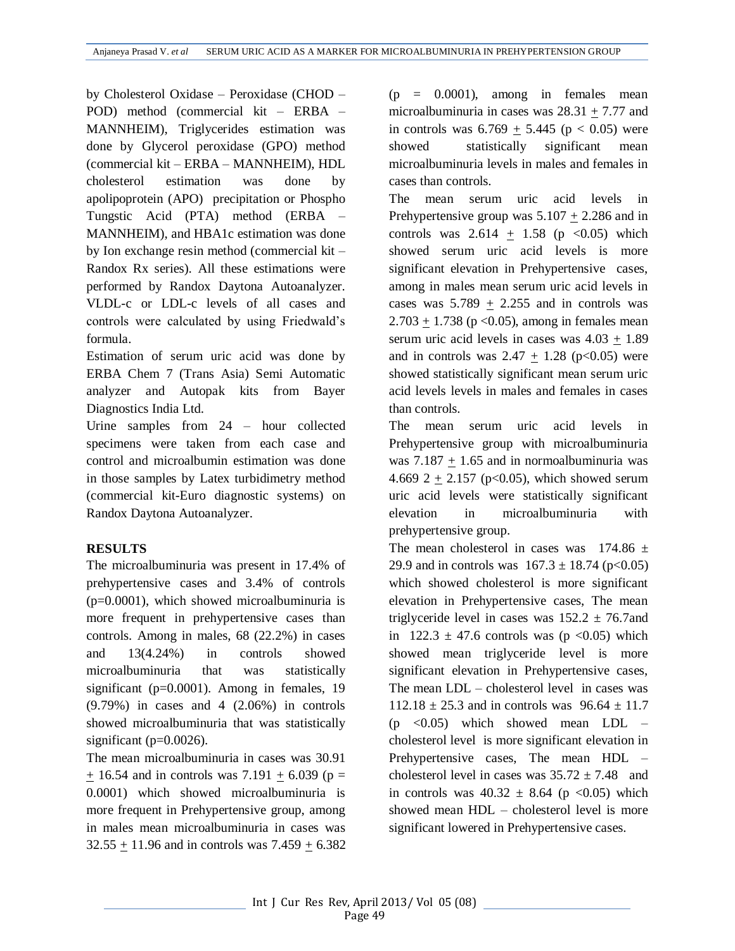by Cholesterol Oxidase – Peroxidase (CHOD – POD) method (commercial kit – ERBA – MANNHEIM), Triglycerides estimation was done by Glycerol peroxidase (GPO) method (commercial kit – ERBA – MANNHEIM), HDL cholesterol estimation was done by apolipoprotein (APO) precipitation or Phospho Tungstic Acid (PTA) method (ERBA – MANNHEIM), and HBA1c estimation was done by Ion exchange resin method (commercial kit – Randox Rx series). All these estimations were performed by Randox Daytona Autoanalyzer. VLDL-c or LDL-c levels of all cases and controls were calculated by using Friedwald's formula.

Estimation of serum uric acid was done by ERBA Chem 7 (Trans Asia) Semi Automatic analyzer and Autopak kits from Bayer Diagnostics India Ltd.

Urine samples from 24 – hour collected specimens were taken from each case and control and microalbumin estimation was done in those samples by Latex turbidimetry method (commercial kit-Euro diagnostic systems) on Randox Daytona Autoanalyzer.

## **RESULTS**

The microalbuminuria was present in 17.4% of prehypertensive cases and 3.4% of controls (p=0.0001), which showed microalbuminuria is more frequent in prehypertensive cases than controls. Among in males, 68 (22.2%) in cases and 13(4.24%) in controls showed microalbuminuria that was statistically significant (p=0.0001). Among in females, 19 (9.79%) in cases and 4 (2.06%) in controls showed microalbuminuria that was statistically significant ( $p=0.0026$ ).

The mean microalbuminuria in cases was 30.91  $+ 16.54$  and in controls was 7.191 + 6.039 (p = 0.0001) which showed microalbuminuria is more frequent in Prehypertensive group, among in males mean microalbuminuria in cases was  $32.55 \pm 11.96$  and in controls was  $7.459 \pm 6.382$   $(p = 0.0001)$ , among in females mean microalbuminuria in cases was 28.31 + 7.77 and in controls was  $6.769 + 5.445$  ( $p < 0.05$ ) were showed statistically significant mean microalbuminuria levels in males and females in cases than controls.

The mean serum uric acid levels in Prehypertensive group was  $5.107 \pm 2.286$  and in controls was  $2.614 + 1.58$  (p <0.05) which showed serum uric acid levels is more significant elevation in Prehypertensive cases, among in males mean serum uric acid levels in cases was  $5.789 \pm 2.255$  and in controls was  $2.703 + 1.738$  (p < 0.05), among in females mean serum uric acid levels in cases was 4.03 + 1.89 and in controls was  $2.47 \pm 1.28$  (p<0.05) were showed statistically significant mean serum uric acid levels levels in males and females in cases than controls.

The mean serum uric acid levels in Prehypertensive group with microalbuminuria was  $7.187 \pm 1.65$  and in normoalbuminuria was 4.669 2  $\pm$  2.157 (p<0.05), which showed serum uric acid levels were statistically significant elevation in microalbuminuria with prehypertensive group.

The mean cholesterol in cases was  $174.86 \pm$ 29.9 and in controls was  $167.3 \pm 18.74$  (p<0.05) which showed cholesterol is more significant elevation in Prehypertensive cases, The mean triglyceride level in cases was  $152.2 \pm 76.7$  and in  $122.3 \pm 47.6$  controls was (p < 0.05) which showed mean triglyceride level is more significant elevation in Prehypertensive cases, The mean LDL – cholesterol level in cases was  $112.18 \pm 25.3$  and in controls was  $96.64 \pm 11.7$  $(p \leq 0.05)$  which showed mean LDL – cholesterol level is more significant elevation in Prehypertensive cases, The mean HDL – cholesterol level in cases was  $35.72 \pm 7.48$  and in controls was  $40.32 \pm 8.64$  (p <0.05) which showed mean HDL – cholesterol level is more significant lowered in Prehypertensive cases.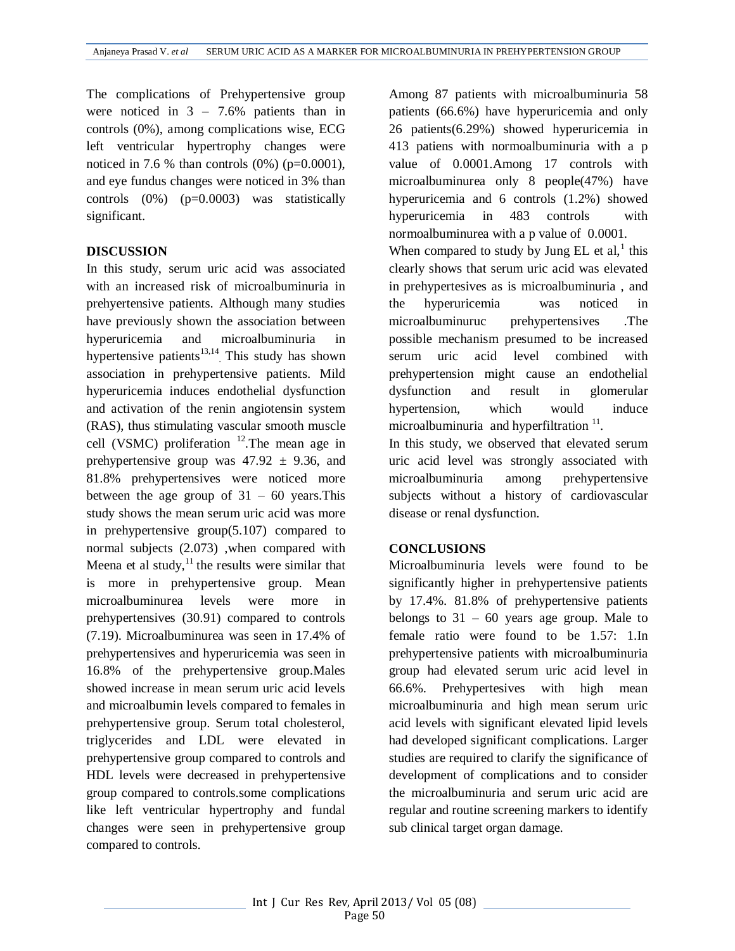The complications of Prehypertensive group were noticed in  $3 - 7.6\%$  patients than in controls (0%), among complications wise, ECG left ventricular hypertrophy changes were noticed in 7.6 % than controls  $(0\%)$  (p=0.0001), and eye fundus changes were noticed in 3% than controls (0%) (p=0.0003) was statistically significant.

#### **DISCUSSION**

In this study, serum uric acid was associated with an increased risk of microalbuminuria in prehyertensive patients. Although many studies have previously shown the association between hyperuricemia and microalbuminuria in hypertensive patients<sup>13,14</sup>. This study has shown association in prehypertensive patients. Mild hyperuricemia induces endothelial dysfunction and activation of the renin angiotensin system (RAS), thus stimulating vascular smooth muscle cell (VSMC) proliferation  $^{12}$ . The mean age in prehypertensive group was  $47.92 \pm 9.36$ , and 81.8% prehypertensives were noticed more between the age group of  $31 - 60$  years. This study shows the mean serum uric acid was more in prehypertensive group(5.107) compared to normal subjects (2.073) ,when compared with Meena et al study, $^{11}$  the results were similar that is more in prehypertensive group. Mean microalbuminurea levels were more in prehypertensives (30.91) compared to controls (7.19). Microalbuminurea was seen in 17.4% of prehypertensives and hyperuricemia was seen in 16.8% of the prehypertensive group.Males showed increase in mean serum uric acid levels and microalbumin levels compared to females in prehypertensive group. Serum total cholesterol, triglycerides and LDL were elevated in prehypertensive group compared to controls and HDL levels were decreased in prehypertensive group compared to controls.some complications like left ventricular hypertrophy and fundal changes were seen in prehypertensive group compared to controls.

Among 87 patients with microalbuminuria 58 patients (66.6%) have hyperuricemia and only 26 patients(6.29%) showed hyperuricemia in 413 patiens with normoalbuminuria with a p value of 0.0001.Among 17 controls with microalbuminurea only 8 people(47%) have hyperuricemia and 6 controls (1.2%) showed hyperuricemia in 483 controls with normoalbuminurea with a p value of 0.0001. When compared to study by Jung  $EL$  et al,<sup>1</sup> this clearly shows that serum uric acid was elevated in prehypertesives as is microalbuminuria , and the hyperuricemia was noticed in microalbuminuruc prehypertensives .The possible mechanism presumed to be increased serum uric acid level combined with prehypertension might cause an endothelial dysfunction and result in glomerular hypertension, which would induce microalbuminuria and hyperfiltration  $11$ .

In this study, we observed that elevated serum uric acid level was strongly associated with microalbuminuria among prehypertensive subjects without a history of cardiovascular disease or renal dysfunction.

### **CONCLUSIONS**

Microalbuminuria levels were found to be significantly higher in prehypertensive patients by 17.4%. 81.8% of prehypertensive patients belongs to  $31 - 60$  years age group. Male to female ratio were found to be 1.57: 1.In prehypertensive patients with microalbuminuria group had elevated serum uric acid level in 66.6%. Prehypertesives with high mean microalbuminuria and high mean serum uric acid levels with significant elevated lipid levels had developed significant complications. Larger studies are required to clarify the significance of development of complications and to consider the microalbuminuria and serum uric acid are regular and routine screening markers to identify sub clinical target organ damage.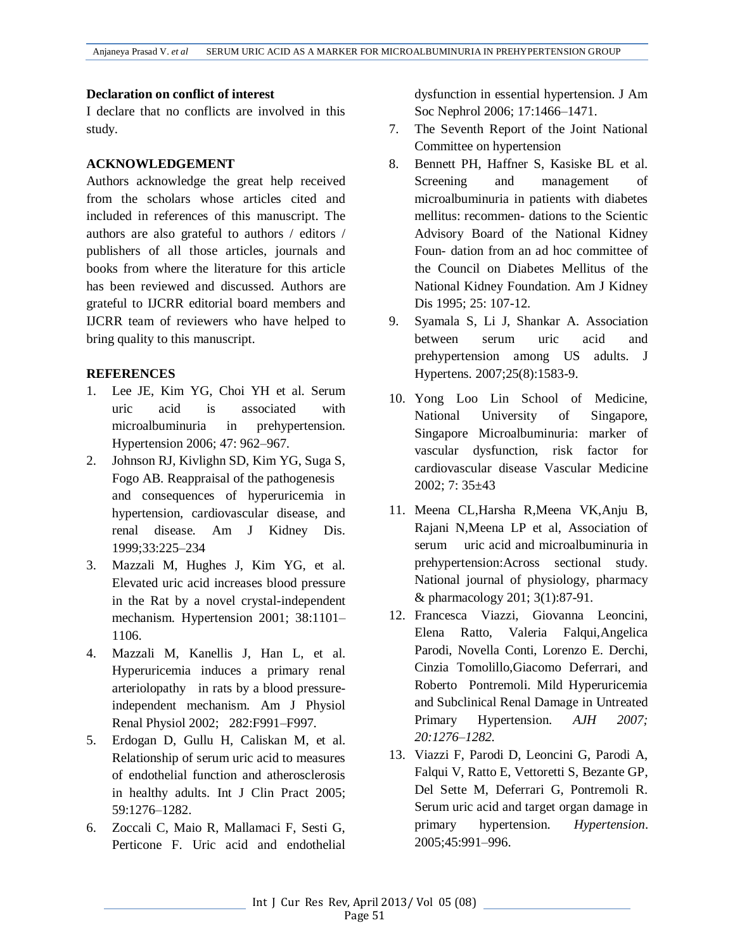### **Declaration on conflict of interest**

I declare that no conflicts are involved in this study.

## **ACKNOWLEDGEMENT**

Authors acknowledge the great help received from the scholars whose articles cited and included in references of this manuscript. The authors are also grateful to authors / editors / publishers of all those articles, journals and books from where the literature for this article has been reviewed and discussed. Authors are grateful to IJCRR editorial board members and IJCRR team of reviewers who have helped to bring quality to this manuscript.

## **REFERENCES**

- 1. Lee JE, Kim YG, Choi YH et al. Serum uric acid is associated with microalbuminuria in prehypertension. Hypertension 2006; 47: 962–967.
- 2. Johnson RJ, Kivlighn SD, Kim YG, Suga S, Fogo AB. Reappraisal of the pathogenesis and consequences of hyperuricemia in hypertension, cardiovascular disease, and renal disease. Am J Kidney Dis. 1999;33:225–234
- 3. Mazzali M, Hughes J, Kim YG, et al. Elevated uric acid increases blood pressure in the Rat by a novel crystal-independent mechanism. Hypertension 2001; 38:1101– 1106.
- 4. Mazzali M, Kanellis J, Han L, et al. Hyperuricemia induces a primary renal arteriolopathy in rats by a blood pressureindependent mechanism. Am J Physiol Renal Physiol 2002; 282:F991–F997.
- 5. Erdogan D, Gullu H, Caliskan M, et al. Relationship of serum uric acid to measures of endothelial function and atherosclerosis in healthy adults. Int J Clin Pract 2005; 59:1276–1282.
- 6. Zoccali C, Maio R, Mallamaci F, Sesti G, Perticone F. Uric acid and endothelial

dysfunction in essential hypertension. J Am Soc Nephrol 2006; 17:1466–1471.

- 7. The Seventh Report of the Joint National Committee on hypertension
- 8. Bennett PH, Haffner S, Kasiske BL et al. Screening and management of microalbuminuria in patients with diabetes mellitus: recommen- dations to the Scientic Advisory Board of the National Kidney Foun- dation from an ad hoc committee of the Council on Diabetes Mellitus of the National Kidney Foundation. Am J Kidney Dis 1995; 25: 107-12.
- 9. Syamala S, Li J, Shankar A. Association between serum uric acid and prehypertension among US adults. J Hypertens. 2007;25(8):1583-9.
- 10. Yong Loo Lin School of Medicine, National University of Singapore, Singapore Microalbuminuria: marker of vascular dysfunction, risk factor for cardiovascular disease Vascular Medicine 2002; 7: 35±43
- 11. Meena CL,Harsha R,Meena VK,Anju B, Rajani N,Meena LP et al, Association of serum uric acid and microalbuminuria in prehypertension:Across sectional study. National journal of physiology, pharmacy & pharmacology 201; 3(1):87-91.
- 12. Francesca Viazzi, Giovanna Leoncini, Elena Ratto, Valeria Falqui,Angelica Parodi, Novella Conti, Lorenzo E. Derchi, Cinzia Tomolillo,Giacomo Deferrari, and Roberto Pontremoli. Mild Hyperuricemia and Subclinical Renal Damage in Untreated Primary Hypertension. *AJH 2007; 20:1276–1282.*
- 13. Viazzi F, Parodi D, Leoncini G, Parodi A, Falqui V, Ratto E, Vettoretti S, Bezante GP, Del Sette M, Deferrari G, Pontremoli R. Serum uric acid and target organ damage in primary hypertension. *Hypertension*. 2005;45:991–996.